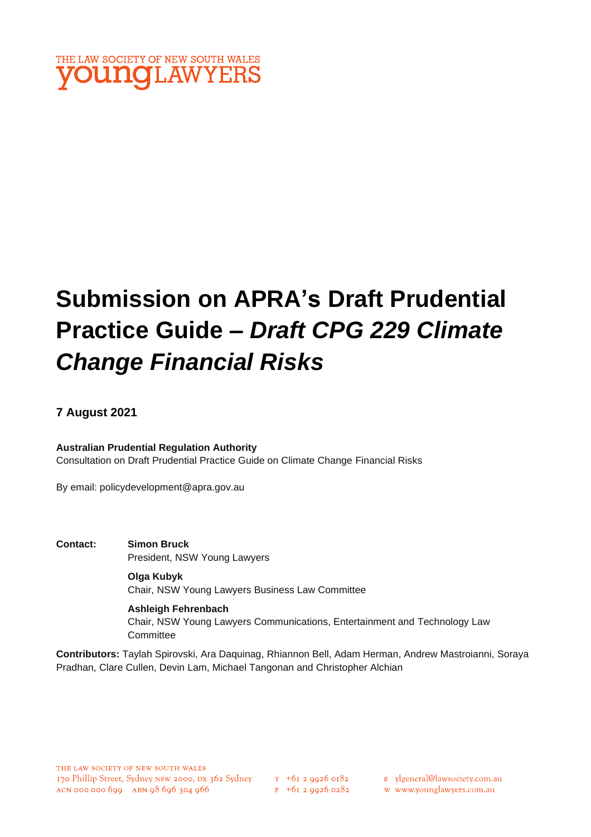

# **Submission on APRA's Draft Prudential Practice Guide –** *Draft CPG 229 Climate Change Financial Risks*

### **7 August 2021**

### **Australian Prudential Regulation Authority**

Consultation on Draft Prudential Practice Guide on Climate Change Financial Risks

By email: policydevelopment@apra.gov.au

**Contact: Simon Bruck** President, NSW Young Lawyers

> **Olga Kubyk** Chair, NSW Young Lawyers Business Law Committee

**Ashleigh Fehrenbach** Chair, NSW Young Lawyers Communications, Entertainment and Technology Law **Committee** 

**Contributors:** Taylah Spirovski, Ara Daquinag, Rhiannon Bell, Adam Herman, Andrew Mastroianni, Soraya Pradhan, Clare Cullen, Devin Lam, Michael Tangonan and Christopher Alchian

 $F + 6I$  2 9926 0282

E ylgeneral@lawsociety.com.au

w www.younglawyers.com.au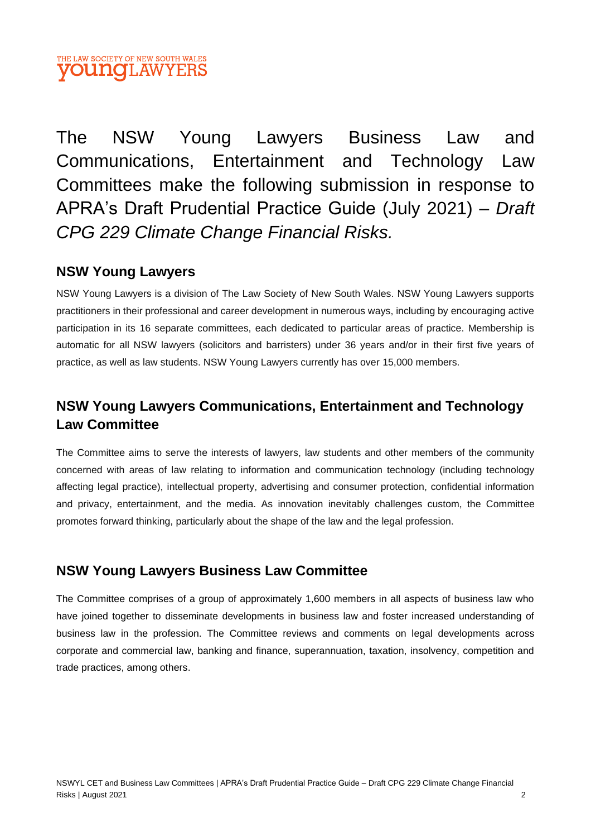

The NSW Young Lawyers Business Law and Communications, Entertainment and Technology Law Committees make the following submission in response to APRA's Draft Prudential Practice Guide (July 2021) – *Draft CPG 229 Climate Change Financial Risks.*

# **NSW Young Lawyers**

NSW Young Lawyers is a division of The Law Society of New South Wales. NSW Young Lawyers supports practitioners in their professional and career development in numerous ways, including by encouraging active participation in its 16 separate committees, each dedicated to particular areas of practice. Membership is automatic for all NSW lawyers (solicitors and barristers) under 36 years and/or in their first five years of practice, as well as law students. NSW Young Lawyers currently has over 15,000 members.

# **NSW Young Lawyers Communications, Entertainment and Technology Law Committee**

The Committee aims to serve the interests of lawyers, law students and other members of the community concerned with areas of law relating to information and communication technology (including technology affecting legal practice), intellectual property, advertising and consumer protection, confidential information and privacy, entertainment, and the media. As innovation inevitably challenges custom, the Committee promotes forward thinking, particularly about the shape of the law and the legal profession.

# **NSW Young Lawyers Business Law Committee**

The Committee comprises of a group of approximately 1,600 members in all aspects of business law who have joined together to disseminate developments in business law and foster increased understanding of business law in the profession. The Committee reviews and comments on legal developments across corporate and commercial law, banking and finance, superannuation, taxation, insolvency, competition and trade practices, among others.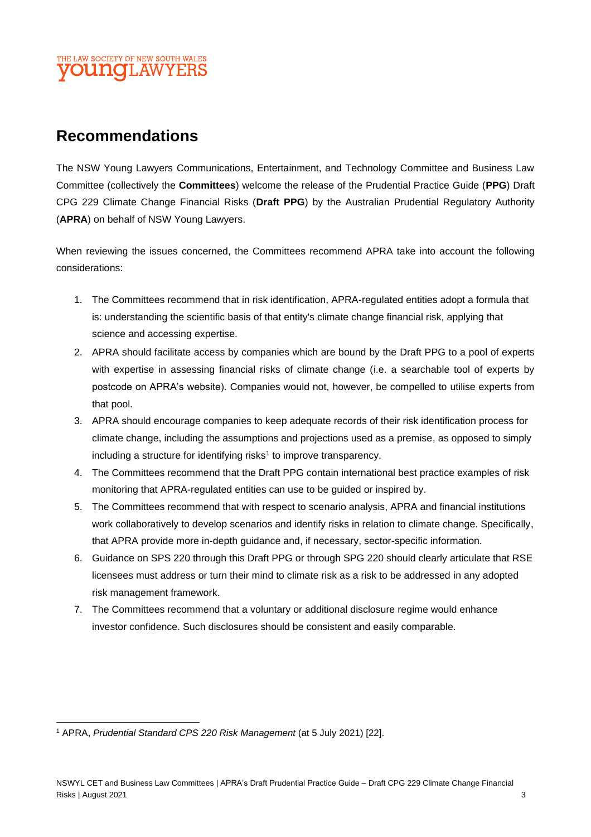### THE LAW SOCIETY OF NEW SOUTH WALES **OUNQLAW**

# **Recommendations**

The NSW Young Lawyers Communications, Entertainment, and Technology Committee and Business Law Committee (collectively the **Committees**) welcome the release of the Prudential Practice Guide (**PPG**) Draft CPG 229 Climate Change Financial Risks (**Draft PPG**) by the Australian Prudential Regulatory Authority (**APRA**) on behalf of NSW Young Lawyers.

When reviewing the issues concerned, the Committees recommend APRA take into account the following considerations:

- 1. The Committees recommend that in risk identification, APRA-regulated entities adopt a formula that is: understanding the scientific basis of that entity's climate change financial risk, applying that science and accessing expertise.
- 2. APRA should facilitate access by companies which are bound by the Draft PPG to a pool of experts with expertise in assessing financial risks of climate change (i.e. a searchable tool of experts by postcode on APRA's website). Companies would not, however, be compelled to utilise experts from that pool.
- 3. APRA should encourage companies to keep adequate records of their risk identification process for climate change, including the assumptions and projections used as a premise, as opposed to simply including a structure for identifying risks<sup>1</sup> to improve transparency.
- 4. The Committees recommend that the Draft PPG contain international best practice examples of risk monitoring that APRA-regulated entities can use to be guided or inspired by.
- 5. The Committees recommend that with respect to scenario analysis, APRA and financial institutions work collaboratively to develop scenarios and identify risks in relation to climate change. Specifically, that APRA provide more in-depth guidance and, if necessary, sector-specific information.
- 6. Guidance on SPS 220 through this Draft PPG or through SPG 220 should clearly articulate that RSE licensees must address or turn their mind to climate risk as a risk to be addressed in any adopted risk management framework.
- 7. The Committees recommend that a voluntary or additional disclosure regime would enhance investor confidence. Such disclosures should be consistent and easily comparable.

<sup>1</sup> APRA, *Prudential Standard CPS 220 Risk Management* (at 5 July 2021) [22].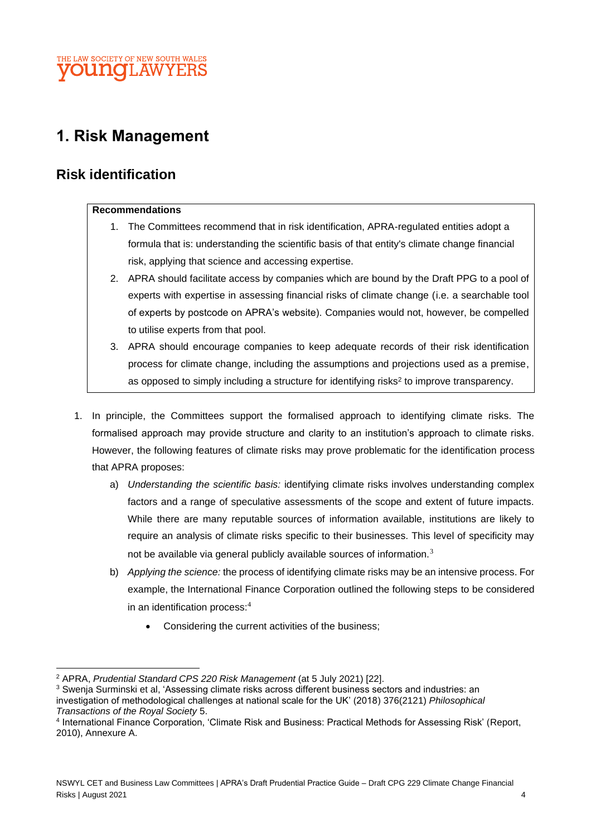### THE LAW SOCIETY OF NEW SOUTH WALES **OUINOLAW**

# **1. Risk Management**

# **Risk identification**

### **Recommendations**

- 1. The Committees recommend that in risk identification, APRA-regulated entities adopt a formula that is: understanding the scientific basis of that entity's climate change financial risk, applying that science and accessing expertise.
- 2. APRA should facilitate access by companies which are bound by the Draft PPG to a pool of experts with expertise in assessing financial risks of climate change (i.e. a searchable tool of experts by postcode on APRA's website). Companies would not, however, be compelled to utilise experts from that pool.
- 3. APRA should encourage companies to keep adequate records of their risk identification process for climate change, including the assumptions and projections used as a premise, as opposed to simply including a structure for identifying risks<sup>2</sup> to improve transparency.
- 1. In principle, the Committees support the formalised approach to identifying climate risks. The formalised approach may provide structure and clarity to an institution's approach to climate risks. However, the following features of climate risks may prove problematic for the identification process that APRA proposes:
	- a) *Understanding the scientific basis:* identifying climate risks involves understanding complex factors and a range of speculative assessments of the scope and extent of future impacts. While there are many reputable sources of information available, institutions are likely to require an analysis of climate risks specific to their businesses. This level of specificity may not be available via general publicly available sources of information.<sup>3</sup>
	- b) *Applying the science:* the process of identifying climate risks may be an intensive process. For example, the International Finance Corporation outlined the following steps to be considered in an identification process:<sup>4</sup>
		- Considering the current activities of the business;

<sup>2</sup> APRA, *Prudential Standard CPS 220 Risk Management* (at 5 July 2021) [22].

<sup>&</sup>lt;sup>3</sup> Swenja Surminski et al, 'Assessing climate risks across different business sectors and industries: an investigation of methodological challenges at national scale for the UK' (2018) 376(2121) *Philosophical Transactions of the Royal Society* 5.

<sup>4</sup> International Finance Corporation, 'Climate Risk and Business: Practical Methods for Assessing Risk' (Report, 2010), Annexure A.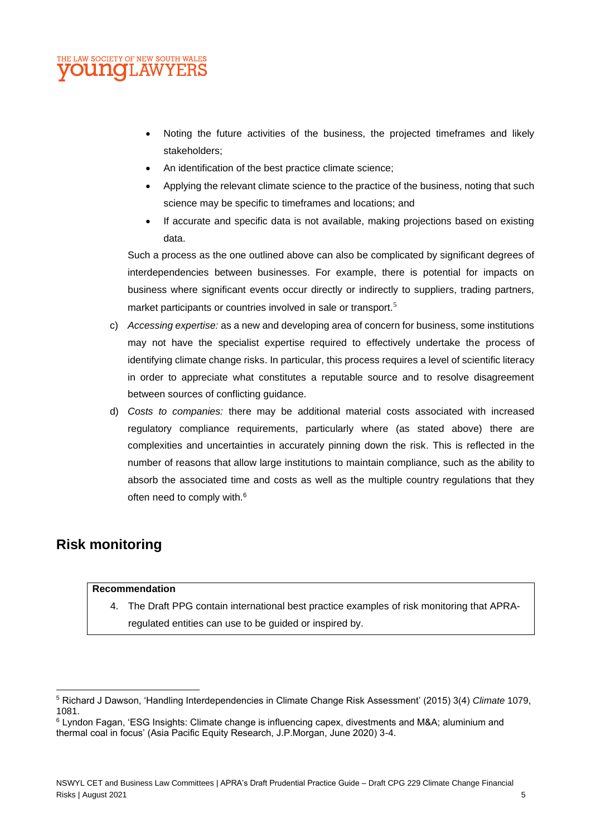#### E LAW SOCIETY OF NEW SOUTH WALES **OUNGLAW** YEI

- Noting the future activities of the business, the projected timeframes and likely stakeholders;
- An identification of the best practice climate science;
- Applying the relevant climate science to the practice of the business, noting that such science may be specific to timeframes and locations; and
- If accurate and specific data is not available, making projections based on existing data.

Such a process as the one outlined above can also be complicated by significant degrees of interdependencies between businesses. For example, there is potential for impacts on business where significant events occur directly or indirectly to suppliers, trading partners, market participants or countries involved in sale or transport.<sup>5</sup>

- c) *Accessing expertise:* as a new and developing area of concern for business, some institutions may not have the specialist expertise required to effectively undertake the process of identifying climate change risks. In particular, this process requires a level of scientific literacy in order to appreciate what constitutes a reputable source and to resolve disagreement between sources of conflicting guidance.
- d) *Costs to companies:* there may be additional material costs associated with increased regulatory compliance requirements, particularly where (as stated above) there are complexities and uncertainties in accurately pinning down the risk. This is reflected in the number of reasons that allow large institutions to maintain compliance, such as the ability to absorb the associated time and costs as well as the multiple country regulations that they often need to comply with.<sup>6</sup>

# **Risk monitoring**

### **Recommendation**

4. The Draft PPG contain international best practice examples of risk monitoring that APRAregulated entities can use to be guided or inspired by.

<sup>5</sup> Richard J Dawson, 'Handling Interdependencies in Climate Change Risk Assessment' (2015) 3(4) *Climate* 1079, 1081.

<sup>6</sup> Lyndon Fagan, 'ESG Insights: Climate change is influencing capex, divestments and M&A; aluminium and thermal coal in focus' (Asia Pacific Equity Research, J.P.Morgan, June 2020) 3-4.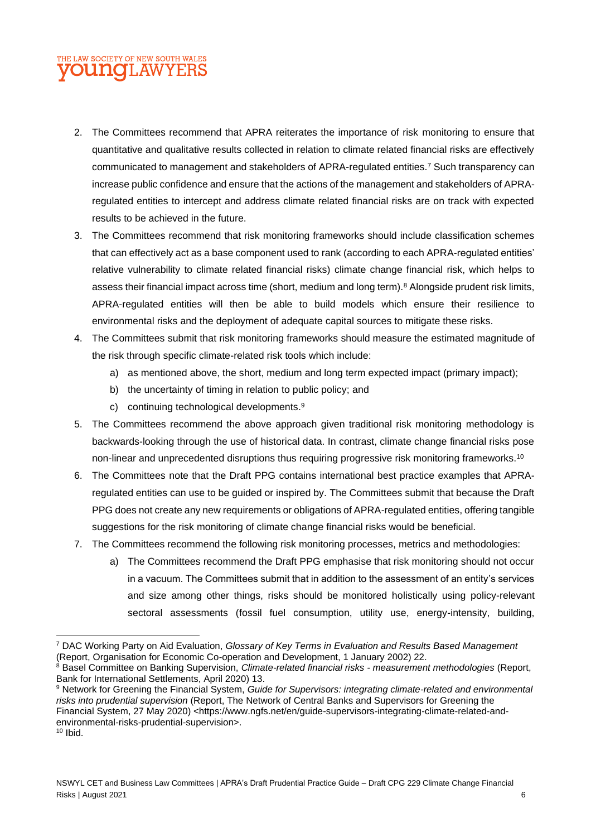## THE LAW SOCIETY OF NEW SOUTH WALES **OUNGLAW**

- 2. The Committees recommend that APRA reiterates the importance of risk monitoring to ensure that quantitative and qualitative results collected in relation to climate related financial risks are effectively communicated to management and stakeholders of APRA-regulated entities.<sup>7</sup> Such transparency can increase public confidence and ensure that the actions of the management and stakeholders of APRAregulated entities to intercept and address climate related financial risks are on track with expected results to be achieved in the future.
- 3. The Committees recommend that risk monitoring frameworks should include classification schemes that can effectively act as a base component used to rank (according to each APRA-regulated entities' relative vulnerability to climate related financial risks) climate change financial risk, which helps to assess their financial impact across time (short, medium and long term).<sup>8</sup> Alongside prudent risk limits, APRA-regulated entities will then be able to build models which ensure their resilience to environmental risks and the deployment of adequate capital sources to mitigate these risks.
- 4. The Committees submit that risk monitoring frameworks should measure the estimated magnitude of the risk through specific climate-related risk tools which include:
	- a) as mentioned above, the short, medium and long term expected impact (primary impact);
	- b) the uncertainty of timing in relation to public policy; and
	- c) continuing technological developments.<sup>9</sup>
- 5. The Committees recommend the above approach given traditional risk monitoring methodology is backwards-looking through the use of historical data. In contrast, climate change financial risks pose non-linear and unprecedented disruptions thus requiring progressive risk monitoring frameworks.<sup>10</sup>
- 6. The Committees note that the Draft PPG contains international best practice examples that APRAregulated entities can use to be guided or inspired by. The Committees submit that because the Draft PPG does not create any new requirements or obligations of APRA-regulated entities, offering tangible suggestions for the risk monitoring of climate change financial risks would be beneficial.
- 7. The Committees recommend the following risk monitoring processes, metrics and methodologies:
	- a) The Committees recommend the Draft PPG emphasise that risk monitoring should not occur in a vacuum. The Committees submit that in addition to the assessment of an entity's services and size among other things, risks should be monitored holistically using policy-relevant sectoral assessments (fossil fuel consumption, utility use, energy-intensity, building,

<sup>7</sup> DAC Working Party on Aid Evaluation, *Glossary of Key Terms in Evaluation and Results Based Management* (Report, Organisation for Economic Co-operation and Development, 1 January 2002) 22.

<sup>8</sup> Basel Committee on Banking Supervision, *Climate-related financial risks - measurement methodologies* (Report, Bank for International Settlements, April 2020) 13.

<sup>9</sup> Network for Greening the Financial System, *Guide for Supervisors: integrating climate-related and environmental risks into prudential supervision* (Report, The Network of Central Banks and Supervisors for Greening the Financial System, 27 May 2020) <https://www.ngfs.net/en/guide-supervisors-integrating-climate-related-andenvironmental-risks-prudential-supervision>.  $10$  Ibid.

NSWYL CET and Business Law Committees | APRA's Draft Prudential Practice Guide – Draft CPG 229 Climate Change Financial Risks | August 2021 6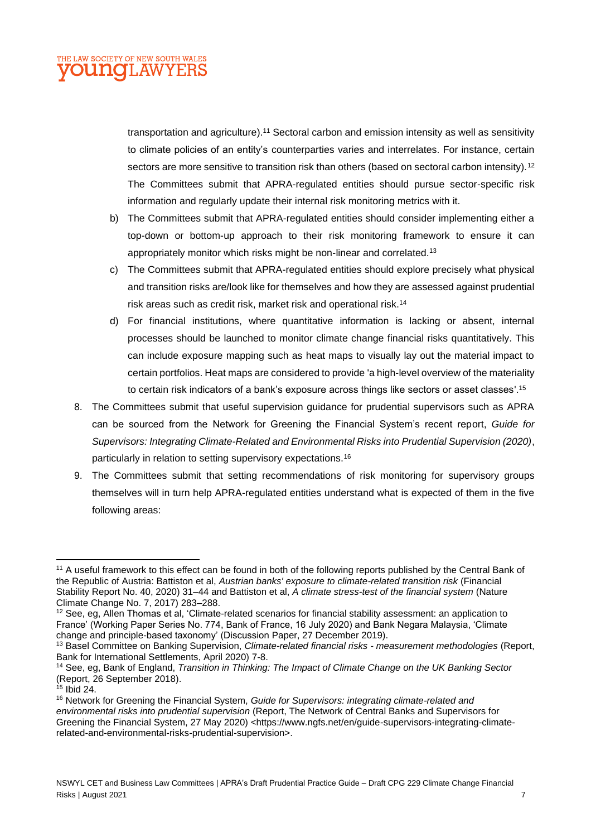

transportation and agriculture).<sup>11</sup> Sectoral carbon and emission intensity as well as sensitivity to climate policies of an entity's counterparties varies and interrelates. For instance, certain sectors are more sensitive to transition risk than others (based on sectoral carbon intensity).<sup>12</sup> The Committees submit that APRA-regulated entities should pursue sector-specific risk information and regularly update their internal risk monitoring metrics with it.

- b) The Committees submit that APRA-regulated entities should consider implementing either a top-down or bottom-up approach to their risk monitoring framework to ensure it can appropriately monitor which risks might be non-linear and correlated.<sup>13</sup>
- c) The Committees submit that APRA-regulated entities should explore precisely what physical and transition risks are/look like for themselves and how they are assessed against prudential risk areas such as credit risk, market risk and operational risk.<sup>14</sup>
- d) For financial institutions, where quantitative information is lacking or absent, internal processes should be launched to monitor climate change financial risks quantitatively. This can include exposure mapping such as heat maps to visually lay out the material impact to certain portfolios. Heat maps are considered to provide 'a high-level overview of the materiality to certain risk indicators of a bank's exposure across things like sectors or asset classes'. 15
- 8. The Committees submit that useful supervision guidance for prudential supervisors such as APRA can be sourced from the Network for Greening the Financial System's recent report, *Guide for Supervisors: Integrating Climate-Related and Environmental Risks into Prudential Supervision (2020)*, particularly in relation to setting supervisory expectations.<sup>16</sup>
- 9. The Committees submit that setting recommendations of risk monitoring for supervisory groups themselves will in turn help APRA-regulated entities understand what is expected of them in the five following areas:

<sup>&</sup>lt;sup>11</sup> A useful framework to this effect can be found in both of the following reports published by the Central Bank of the Republic of Austria: Battiston et al, *Austrian banks' exposure to climate-related transition risk* (Financial Stability Report No. 40, 2020) 31–44 and Battiston et al, *A climate stress-test of the financial system* (Nature Climate Change No. 7, 2017) 283–288.

<sup>&</sup>lt;sup>12</sup> See, eg, Allen Thomas et al, 'Climate-related scenarios for financial stability assessment: an application to France' (Working Paper Series No. 774, Bank of France, 16 July 2020) and Bank Negara Malaysia, 'Climate change and principle-based taxonomy' (Discussion Paper, 27 December 2019).

<sup>13</sup> Basel Committee on Banking Supervision, *Climate-related financial risks - measurement methodologies* (Report, Bank for International Settlements, April 2020) 7-8.

<sup>14</sup> See, eg, Bank of England, *Transition in Thinking: The Impact of Climate Change on the UK Banking Sector* (Report, 26 September 2018).

 $15$  Ibid 24.

<sup>16</sup> Network for Greening the Financial System, *Guide for Supervisors: integrating climate-related and environmental risks into prudential supervision* (Report, The Network of Central Banks and Supervisors for Greening the Financial System, 27 May 2020) <https://www.ngfs.net/en/guide-supervisors-integrating-climaterelated-and-environmental-risks-prudential-supervision>.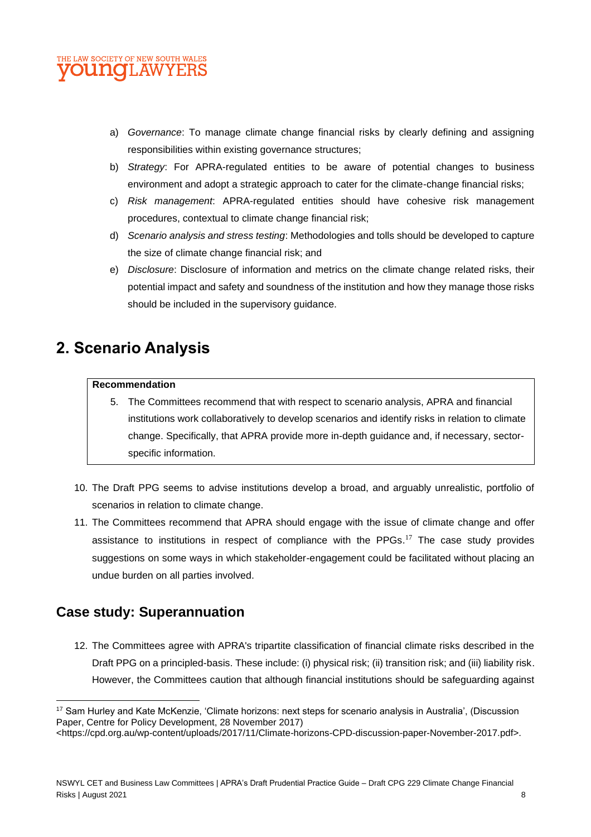

- a) *Governance*: To manage climate change financial risks by clearly defining and assigning responsibilities within existing governance structures;
- b) *Strategy*: For APRA-regulated entities to be aware of potential changes to business environment and adopt a strategic approach to cater for the climate-change financial risks;
- c) *Risk management*: APRA-regulated entities should have cohesive risk management procedures, contextual to climate change financial risk;
- d) *Scenario analysis and stress testing*: Methodologies and tolls should be developed to capture the size of climate change financial risk; and
- e) *Disclosure*: Disclosure of information and metrics on the climate change related risks, their potential impact and safety and soundness of the institution and how they manage those risks should be included in the supervisory guidance.

# **2. Scenario Analysis**

#### **Recommendation**

- 5. The Committees recommend that with respect to scenario analysis, APRA and financial institutions work collaboratively to develop scenarios and identify risks in relation to climate change. Specifically, that APRA provide more in-depth guidance and, if necessary, sectorspecific information.
- 10. The Draft PPG seems to advise institutions develop a broad, and arguably unrealistic, portfolio of scenarios in relation to climate change.
- 11. The Committees recommend that APRA should engage with the issue of climate change and offer assistance to institutions in respect of compliance with the PPGs.<sup>17</sup> The case study provides suggestions on some ways in which stakeholder-engagement could be facilitated without placing an undue burden on all parties involved.

# **Case study: Superannuation**

12. The Committees agree with APRA's tripartite classification of financial climate risks described in the Draft PPG on a principled-basis. These include: (i) physical risk; (ii) transition risk; and (iii) liability risk. However, the Committees caution that although financial institutions should be safeguarding against

<https://cpd.org.au/wp-content/uploads/2017/11/Climate-horizons-CPD-discussion-paper-November-2017.pdf>.

<sup>&</sup>lt;sup>17</sup> Sam Hurley and Kate McKenzie, 'Climate horizons: next steps for scenario analysis in Australia', (Discussion Paper, Centre for Policy Development, 28 November 2017)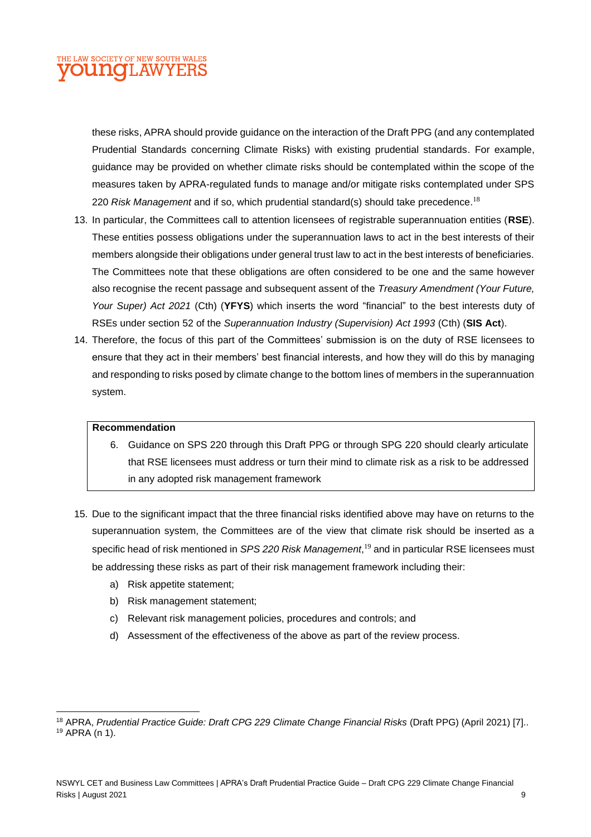### E LAW SOCIETY OF NEW SOUTH WALES **OUNCLAWYERS**

these risks, APRA should provide guidance on the interaction of the Draft PPG (and any contemplated Prudential Standards concerning Climate Risks) with existing prudential standards. For example, guidance may be provided on whether climate risks should be contemplated within the scope of the measures taken by APRA-regulated funds to manage and/or mitigate risks contemplated under SPS 220 *Risk Management* and if so, which prudential standard(s) should take precedence. 18

- 13. In particular, the Committees call to attention licensees of registrable superannuation entities (**RSE**). These entities possess obligations under the superannuation laws to act in the best interests of their members alongside their obligations under general trust law to act in the best interests of beneficiaries. The Committees note that these obligations are often considered to be one and the same however also recognise the recent passage and subsequent assent of the *Treasury Amendment (Your Future, Your Super) Act 2021* (Cth) (**YFYS**) which inserts the word "financial" to the best interests duty of RSEs under section 52 of the *Superannuation Industry (Supervision) Act 1993* (Cth) (**SIS Act**).
- 14. Therefore, the focus of this part of the Committees' submission is on the duty of RSE licensees to ensure that they act in their members' best financial interests, and how they will do this by managing and responding to risks posed by climate change to the bottom lines of members in the superannuation system.

#### **Recommendation**

- 6. Guidance on SPS 220 through this Draft PPG or through SPG 220 should clearly articulate that RSE licensees must address or turn their mind to climate risk as a risk to be addressed in any adopted risk management framework
- 15. Due to the significant impact that the three financial risks identified above may have on returns to the superannuation system, the Committees are of the view that climate risk should be inserted as a specific head of risk mentioned in *SPS 220 Risk Management*, <sup>19</sup> and in particular RSE licensees must be addressing these risks as part of their risk management framework including their:
	- a) Risk appetite statement;
	- b) Risk management statement;
	- c) Relevant risk management policies, procedures and controls; and
	- d) Assessment of the effectiveness of the above as part of the review process.

<sup>&</sup>lt;sup>18</sup> APRA, *Prudential Practice Guide: Draft CPG 229 Climate Change Financial Risks* (Draft PPG) (April 2021) [7].. <sup>19</sup> APRA (n 1).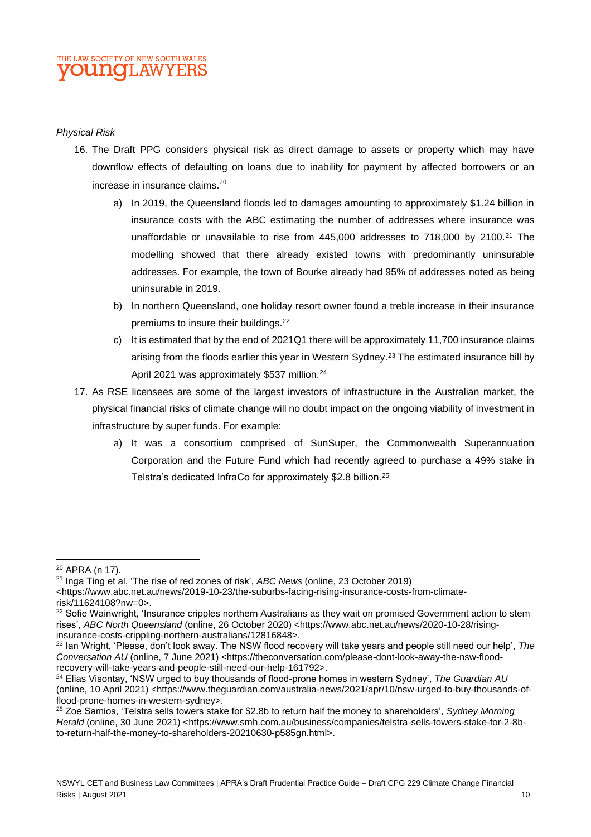### THE LAW SOCIETY OF NEW SOUTH WALES **OUINOL AW**

#### *Physical Risk*

- 16. The Draft PPG considers physical risk as direct damage to assets or property which may have downflow effects of defaulting on loans due to inability for payment by affected borrowers or an increase in insurance claims.<sup>20</sup>
	- a) In 2019, the Queensland floods led to damages amounting to approximately \$1.24 billion in insurance costs with the ABC estimating the number of addresses where insurance was unaffordable or unavailable to rise from  $445,000$  addresses to  $718,000$  by  $2100.<sup>21</sup>$  The modelling showed that there already existed towns with predominantly uninsurable addresses. For example, the town of Bourke already had 95% of addresses noted as being uninsurable in 2019.
	- b) In northern Queensland, one holiday resort owner found a treble increase in their insurance premiums to insure their buildings.<sup>22</sup>
	- c) It is estimated that by the end of 2021Q1 there will be approximately 11,700 insurance claims arising from the floods earlier this year in Western Sydney.<sup>23</sup> The estimated insurance bill by April 2021 was approximately \$537 million.<sup>24</sup>
- 17. As RSE licensees are some of the largest investors of infrastructure in the Australian market, the physical financial risks of climate change will no doubt impact on the ongoing viability of investment in infrastructure by super funds. For example:
	- a) It was a consortium comprised of SunSuper, the Commonwealth Superannuation Corporation and the Future Fund which had recently agreed to purchase a 49% stake in Telstra's dedicated InfraCo for approximately \$2.8 billion.<sup>25</sup>

<sup>20</sup> APRA (n 17).

<sup>21</sup> Inga Ting et al, 'The rise of red zones of risk', *ABC News* (online, 23 October 2019) <https://www.abc.net.au/news/2019-10-23/the-suburbs-facing-rising-insurance-costs-from-climaterisk/11624108?nw=0>.

<sup>&</sup>lt;sup>22</sup> Sofie Wainwright, 'Insurance cripples northern Australians as they wait on promised Government action to stem rises', *ABC North Queensland* (online, 26 October 2020) <https://www.abc.net.au/news/2020-10-28/risinginsurance-costs-crippling-northern-australians/12816848>.

<sup>23</sup> Ian Wright, 'Please, don't look away. The NSW flood recovery will take years and people still need our help', *The Conversation AU* (online, 7 June 2021) <https://theconversation.com/please-dont-look-away-the-nsw-floodrecovery-will-take-years-and-people-still-need-our-help-161792>.

<sup>24</sup> Elias Visontay, 'NSW urged to buy thousands of flood-prone homes in western Sydney', *The Guardian AU* (online, 10 April 2021) <https://www.theguardian.com/australia-news/2021/apr/10/nsw-urged-to-buy-thousands-offlood-prone-homes-in-western-sydney>.

<sup>25</sup> Zoe Samios, 'Telstra sells towers stake for \$2.8b to return half the money to shareholders', *Sydney Morning Herald* (online, 30 June 2021) <https://www.smh.com.au/business/companies/telstra-sells-towers-stake-for-2-8bto-return-half-the-money-to-shareholders-20210630-p585gn.html>.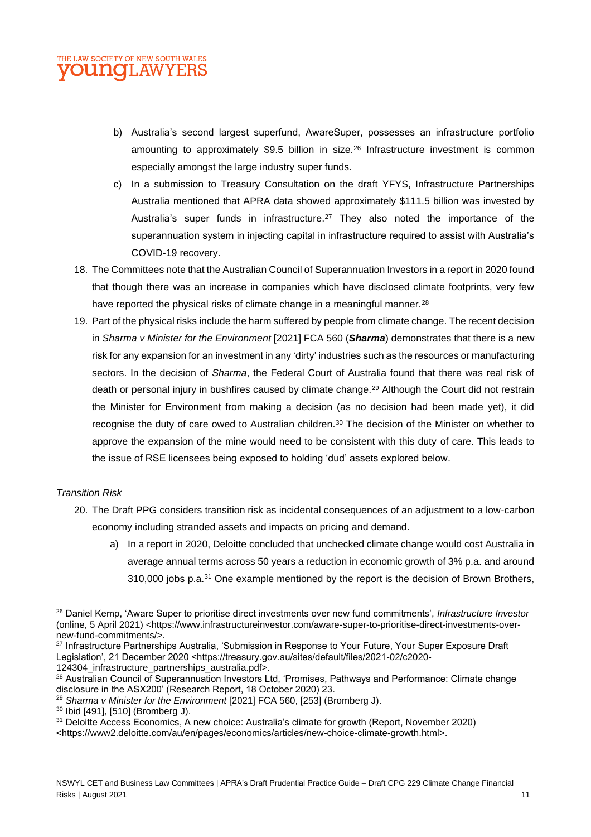

- b) Australia's second largest superfund, AwareSuper, possesses an infrastructure portfolio amounting to approximately \$9.5 billion in size.<sup>26</sup> Infrastructure investment is common especially amongst the large industry super funds.
- c) In a submission to Treasury Consultation on the draft YFYS, Infrastructure Partnerships Australia mentioned that APRA data showed approximately \$111.5 billion was invested by Australia's super funds in infrastructure.<sup>27</sup> They also noted the importance of the superannuation system in injecting capital in infrastructure required to assist with Australia's COVID-19 recovery.
- 18. The Committees note that the Australian Council of Superannuation Investors in a report in 2020 found that though there was an increase in companies which have disclosed climate footprints, very few have reported the physical risks of climate change in a meaningful manner.<sup>28</sup>
- 19. Part of the physical risks include the harm suffered by people from climate change. The recent decision in *Sharma v Minister for the Environment* [2021] FCA 560 (*Sharma*) demonstrates that there is a new risk for any expansion for an investment in any 'dirty' industries such as the resources or manufacturing sectors. In the decision of *Sharma*, the Federal Court of Australia found that there was real risk of death or personal injury in bushfires caused by climate change.<sup>29</sup> Although the Court did not restrain the Minister for Environment from making a decision (as no decision had been made yet), it did recognise the duty of care owed to Australian children.<sup>30</sup> The decision of the Minister on whether to approve the expansion of the mine would need to be consistent with this duty of care. This leads to the issue of RSE licensees being exposed to holding 'dud' assets explored below.

### *Transition Risk*

- 20. The Draft PPG considers transition risk as incidental consequences of an adjustment to a low-carbon economy including stranded assets and impacts on pricing and demand.
	- a) In a report in 2020, Deloitte concluded that unchecked climate change would cost Australia in average annual terms across 50 years a reduction in economic growth of 3% p.a. and around 310,000 jobs p.a.<sup>31</sup> One example mentioned by the report is the decision of Brown Brothers,

<sup>27</sup> Infrastructure Partnerships Australia, 'Submission in Response to Your Future, Your Super Exposure Draft Legislation', 21 December 2020 <https://treasury.gov.au/sites/default/files/2021-02/c2020-

124304\_infrastructure\_partnerships\_australia.pdf>.

<sup>26</sup> Daniel Kemp, 'Aware Super to prioritise direct investments over new fund commitments', *Infrastructure Investor* (online, 5 April 2021) <https://www.infrastructureinvestor.com/aware-super-to-prioritise-direct-investments-overnew-fund-commitments/>.

<sup>&</sup>lt;sup>28</sup> Australian Council of Superannuation Investors Ltd, 'Promises, Pathways and Performance: Climate change disclosure in the ASX200' (Research Report, 18 October 2020) 23.

<sup>29</sup> *Sharma v Minister for the Environment* [2021] FCA 560, [253] (Bromberg J).

<sup>30</sup> Ibid [491], [510] (Bromberg J).

<sup>31</sup> Deloitte Access Economics, A new choice: Australia's climate for growth (Report, November 2020)

<sup>&</sup>lt;https://www2.deloitte.com/au/en/pages/economics/articles/new-choice-climate-growth.html>.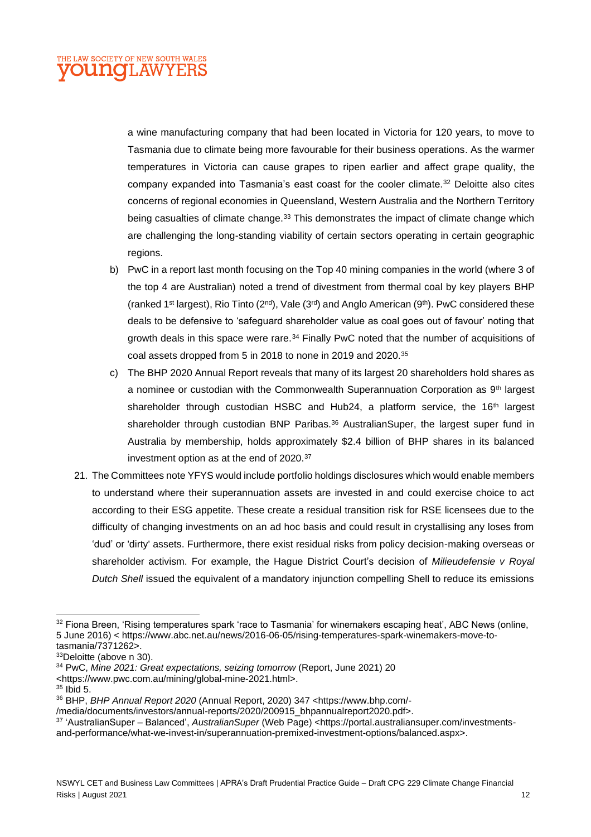a wine manufacturing company that had been located in Victoria for 120 years, to move to Tasmania due to climate being more favourable for their business operations. As the warmer temperatures in Victoria can cause grapes to ripen earlier and affect grape quality, the company expanded into Tasmania's east coast for the cooler climate.<sup>32</sup> Deloitte also cites concerns of regional economies in Queensland, Western Australia and the Northern Territory being casualties of climate change.<sup>33</sup> This demonstrates the impact of climate change which are challenging the long-standing viability of certain sectors operating in certain geographic regions.

- b) PwC in a report last month focusing on the Top 40 mining companies in the world (where 3 of the top 4 are Australian) noted a trend of divestment from thermal coal by key players BHP (ranked 1 st largest), Rio Tinto (2nd), Vale (3rd) and Anglo American (9th). PwC considered these deals to be defensive to 'safeguard shareholder value as coal goes out of favour' noting that growth deals in this space were rare.<sup>34</sup> Finally PwC noted that the number of acquisitions of coal assets dropped from 5 in 2018 to none in 2019 and 2020.<sup>35</sup>
- c) The BHP 2020 Annual Report reveals that many of its largest 20 shareholders hold shares as a nominee or custodian with the Commonwealth Superannuation Corporation as 9<sup>th</sup> largest shareholder through custodian HSBC and Hub24, a platform service, the 16<sup>th</sup> largest shareholder through custodian BNP Paribas. $36$  Australian Super, the largest super fund in Australia by membership, holds approximately \$2.4 billion of BHP shares in its balanced investment option as at the end of 2020.<sup>37</sup>
- 21. The Committees note YFYS would include portfolio holdings disclosures which would enable members to understand where their superannuation assets are invested in and could exercise choice to act according to their ESG appetite. These create a residual transition risk for RSE licensees due to the difficulty of changing investments on an ad hoc basis and could result in crystallising any loses from 'dud' or 'dirty' assets. Furthermore, there exist residual risks from policy decision-making overseas or shareholder activism. For example, the Hague District Court's decision of *Milieudefensie v Royal Dutch Shell* issued the equivalent of a mandatory injunction compelling Shell to reduce its emissions

<sup>&</sup>lt;sup>32</sup> Fiona Breen, 'Rising temperatures spark 'race to Tasmania' for winemakers escaping heat', ABC News (online, 5 June 2016) < https://www.abc.net.au/news/2016-06-05/rising-temperatures-spark-winemakers-move-totasmania/7371262>.

<sup>33</sup>Deloitte (above n 30).

<sup>34</sup> PwC, *Mine 2021: Great expectations, seizing tomorrow* (Report, June 2021) 20

<sup>&</sup>lt;https://www.pwc.com.au/mining/global-mine-2021.html>.

<sup>35</sup> Ibid 5.

<sup>36</sup> BHP, *BHP Annual Report 2020* (Annual Report, 2020) 347 <https://www.bhp.com/-

<sup>/</sup>media/documents/investors/annual-reports/2020/200915\_bhpannualreport2020.pdf>.

<sup>37</sup> 'AustralianSuper – Balanced', *AustralianSuper* (Web Page) <https://portal.australiansuper.com/investments-

and-performance/what-we-invest-in/superannuation-premixed-investment-options/balanced.aspx>.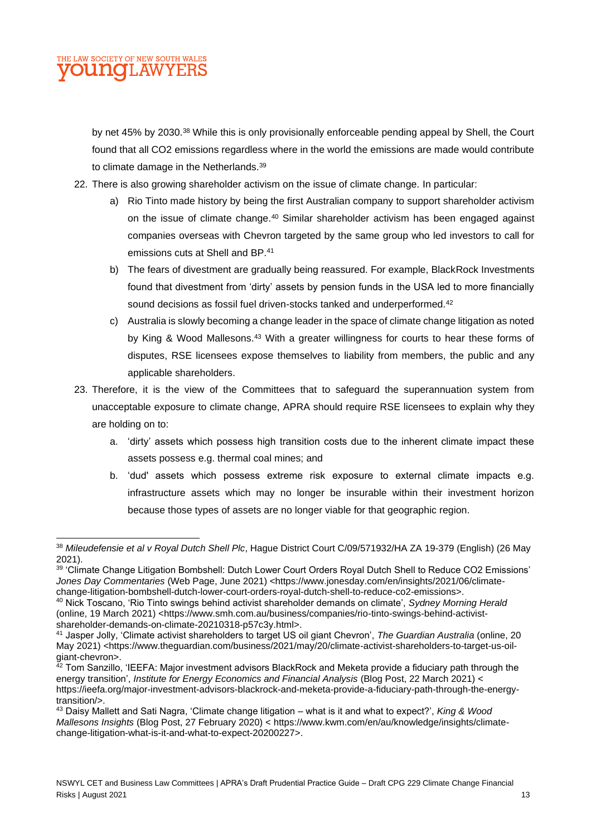### THE LAW SOCIETY OF NEW SOUTH WALES **OUNCILAW**

by net 45% by 2030.<sup>38</sup> While this is only provisionally enforceable pending appeal by Shell, the Court found that all CO2 emissions regardless where in the world the emissions are made would contribute to climate damage in the Netherlands.<sup>39</sup>

- 22. There is also growing shareholder activism on the issue of climate change. In particular:
	- a) Rio Tinto made history by being the first Australian company to support shareholder activism on the issue of climate change.<sup>40</sup> Similar shareholder activism has been engaged against companies overseas with Chevron targeted by the same group who led investors to call for emissions cuts at Shell and BP.<sup>41</sup>
	- b) The fears of divestment are gradually being reassured. For example, BlackRock Investments found that divestment from 'dirty' assets by pension funds in the USA led to more financially sound decisions as fossil fuel driven-stocks tanked and underperformed.<sup>42</sup>
	- c) Australia is slowly becoming a change leader in the space of climate change litigation as noted by King & Wood Mallesons.<sup>43</sup> With a greater willingness for courts to hear these forms of disputes, RSE licensees expose themselves to liability from members, the public and any applicable shareholders.
- 23. Therefore, it is the view of the Committees that to safeguard the superannuation system from unacceptable exposure to climate change, APRA should require RSE licensees to explain why they are holding on to:
	- a. 'dirty' assets which possess high transition costs due to the inherent climate impact these assets possess e.g. thermal coal mines; and
	- b. 'dud' assets which possess extreme risk exposure to external climate impacts e.g. infrastructure assets which may no longer be insurable within their investment horizon because those types of assets are no longer viable for that geographic region.

<sup>38</sup> *Mileudefensie et al v Royal Dutch Shell Plc*, Hague District Court C/09/571932/HA ZA 19-379 (English) (26 May 2021).

<sup>39</sup> 'Climate Change Litigation Bombshell: Dutch Lower Court Orders Royal Dutch Shell to Reduce CO2 Emissions' *Jones Day Commentaries* (Web Page, June 2021) <https://www.jonesday.com/en/insights/2021/06/climatechange-litigation-bombshell-dutch-lower-court-orders-royal-dutch-shell-to-reduce-co2-emissions>.

<sup>40</sup> Nick Toscano, 'Rio Tinto swings behind activist shareholder demands on climate', *Sydney Morning Herald* (online, 19 March 2021) <https://www.smh.com.au/business/companies/rio-tinto-swings-behind-activistshareholder-demands-on-climate-20210318-p57c3y.html>.

<sup>41</sup> Jasper Jolly, 'Climate activist shareholders to target US oil giant Chevron', *The Guardian Australia* (online, 20 May 2021) <https://www.theguardian.com/business/2021/may/20/climate-activist-shareholders-to-target-us-oilgiant-chevron>.

 $^{42}$  Tom Sanzillo, 'IEEFA: Major investment advisors BlackRock and Meketa provide a fiduciary path through the energy transition', *Institute for Energy Economics and Financial Analysis* (Blog Post, 22 March 2021) < https://ieefa.org/major-investment-advisors-blackrock-and-meketa-provide-a-fiduciary-path-through-the-energytransition/>.

<sup>43</sup> Daisy Mallett and Sati Nagra, 'Climate change litigation – what is it and what to expect?', *King & Wood Mallesons Insights* (Blog Post, 27 February 2020) < https://www.kwm.com/en/au/knowledge/insights/climatechange-litigation-what-is-it-and-what-to-expect-20200227>.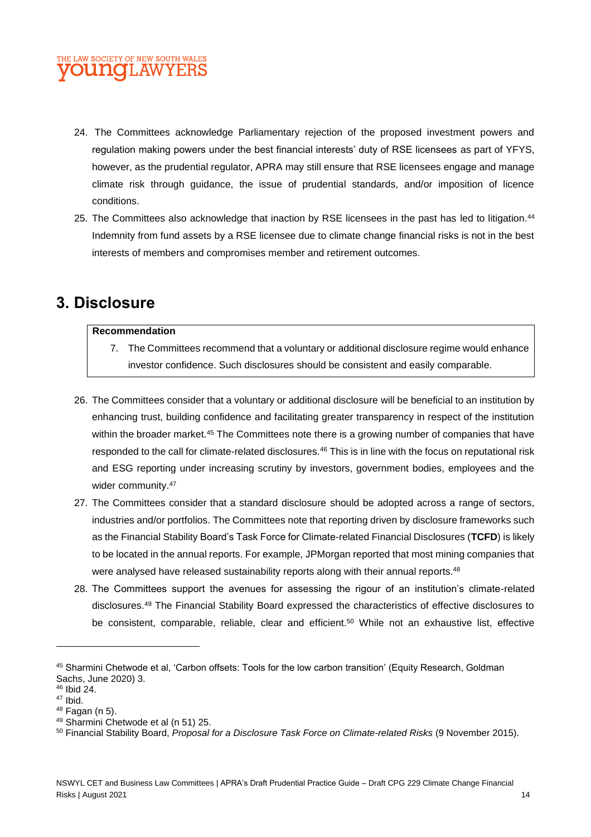- 24. The Committees acknowledge Parliamentary rejection of the proposed investment powers and regulation making powers under the best financial interests' duty of RSE licensees as part of YFYS, however, as the prudential regulator, APRA may still ensure that RSE licensees engage and manage climate risk through guidance, the issue of prudential standards, and/or imposition of licence conditions.
- 25. The Committees also acknowledge that inaction by RSE licensees in the past has led to litigation.<sup>44</sup> Indemnity from fund assets by a RSE licensee due to climate change financial risks is not in the best interests of members and compromises member and retirement outcomes.

# **3. Disclosure**

#### **Recommendation**

- 7. The Committees recommend that a voluntary or additional disclosure regime would enhance investor confidence. Such disclosures should be consistent and easily comparable.
- 26. The Committees consider that a voluntary or additional disclosure will be beneficial to an institution by enhancing trust, building confidence and facilitating greater transparency in respect of the institution within the broader market.<sup>45</sup> The Committees note there is a growing number of companies that have responded to the call for climate-related disclosures.<sup>46</sup> This is in line with the focus on reputational risk and ESG reporting under increasing scrutiny by investors, government bodies, employees and the wider community.<sup>47</sup>
- 27. The Committees consider that a standard disclosure should be adopted across a range of sectors, industries and/or portfolios. The Committees note that reporting driven by disclosure frameworks such as the Financial Stability Board's Task Force for Climate-related Financial Disclosures (**TCFD**) is likely to be located in the annual reports. For example, JPMorgan reported that most mining companies that were analysed have released sustainability reports along with their annual reports.<sup>48</sup>
- 28. The Committees support the avenues for assessing the rigour of an institution's climate-related disclosures.<sup>49</sup> The Financial Stability Board expressed the characteristics of effective disclosures to be consistent, comparable, reliable, clear and efficient.<sup>50</sup> While not an exhaustive list, effective

<sup>45</sup> Sharmini Chetwode et al, 'Carbon offsets: Tools for the low carbon transition' (Equity Research, Goldman Sachs, June 2020) 3.

<sup>46</sup> Ibid 24.

<sup>47</sup> Ibid.

 $48$  Fagan (n 5).

<sup>49</sup> Sharmini Chetwode et al (n 51) 25.

<sup>50</sup> Financial Stability Board, *Proposal for a Disclosure Task Force on Climate-related Risks* (9 November 2015).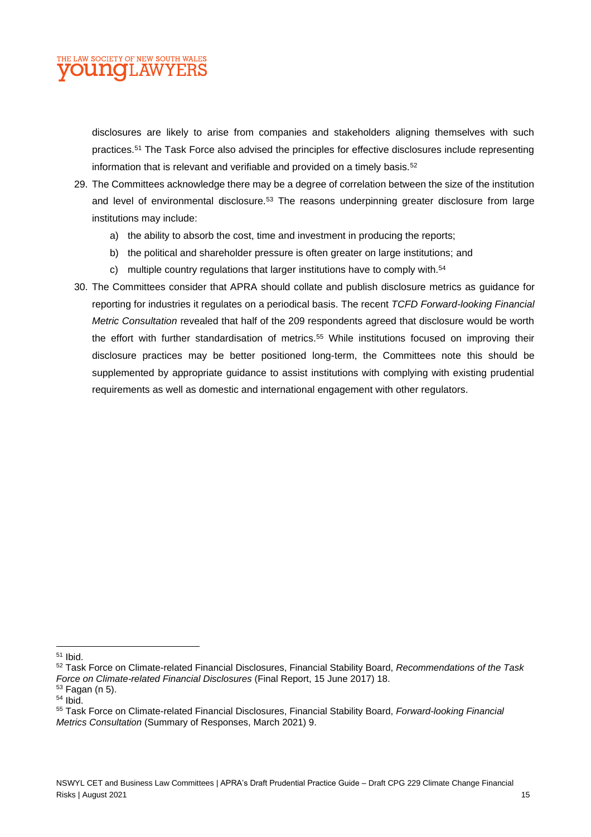

disclosures are likely to arise from companies and stakeholders aligning themselves with such practices.<sup>51</sup> The Task Force also advised the principles for effective disclosures include representing information that is relevant and verifiable and provided on a timely basis.<sup>52</sup>

- 29. The Committees acknowledge there may be a degree of correlation between the size of the institution and level of environmental disclosure.<sup>53</sup> The reasons underpinning greater disclosure from large institutions may include:
	- a) the ability to absorb the cost, time and investment in producing the reports;
	- b) the political and shareholder pressure is often greater on large institutions; and
	- c) multiple country regulations that larger institutions have to comply with.<sup>54</sup>
- 30. The Committees consider that APRA should collate and publish disclosure metrics as guidance for reporting for industries it regulates on a periodical basis. The recent *TCFD Forward-looking Financial Metric Consultation* revealed that half of the 209 respondents agreed that disclosure would be worth the effort with further standardisation of metrics.<sup>55</sup> While institutions focused on improving their disclosure practices may be better positioned long-term, the Committees note this should be supplemented by appropriate guidance to assist institutions with complying with existing prudential requirements as well as domestic and international engagement with other regulators.

<sup>53</sup> Fagan (n 5).

<sup>51</sup> Ibid.

<sup>52</sup> Task Force on Climate-related Financial Disclosures, Financial Stability Board, *Recommendations of the Task Force on Climate-related Financial Disclosures* (Final Report, 15 June 2017) 18.

<sup>54</sup> Ibid.

<sup>55</sup> Task Force on Climate-related Financial Disclosures, Financial Stability Board, *Forward-looking Financial Metrics Consultation* (Summary of Responses, March 2021) 9.